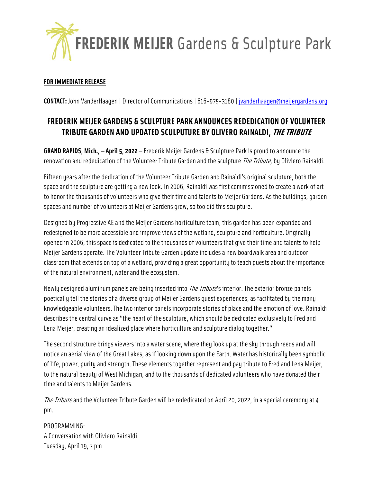

## **FOR IMMEDIATE RELEASE**

**CONTACT:** John VanderHaagen | Director of Communications | 616-975-3180 | [jvanderhaagen@meijergardens.org](mailto:jvanderhaagen@meijergardens.org)

## **FREDERIK MEIJER GARDENS & SCULPTURE PARK ANNOUNCES REDEDICATION OF VOLUNTEER TRIBUTE GARDEN AND UPDATED SCULPUTURE BY OLIVERO RAINALDI, THE TRIBUTE**

**GRAND RAPIDS, Mich., — April 5, 2022** — Frederik Meijer Gardens & Sculpture Park is proud to announce the renovation and rededication of the Volunteer Tribute Garden and the sculpture *The Tribute*, by Oliviero Rainaldi.

Fifteen years after the dedication of the Volunteer Tribute Garden and Rainaldi's original sculpture, both the space and the sculpture are getting a new look. In 2006, Rainaldi was first commissioned to create a work of art to honor the thousands of volunteers who give their time and talents to Meijer Gardens. As the buildings, garden spaces and number of volunteers at Meijer Gardens grow, so too did this sculpture.

Designed by Progressive AE and the Meijer Gardens horticulture team, this garden has been expanded and redesigned to be more accessible and improve views of the wetland, sculpture and horticulture. Originally opened in 2006, this space is dedicated to the thousands of volunteers that give their time and talents to help Meijer Gardens operate. The Volunteer Tribute Garden update includes a new boardwalk area and outdoor classroom that extends on top of a wetland, providing a great opportunity to teach guests about the importance of the natural environment, water and the ecosystem.

Newly designed aluminum panels are being inserted into *The Tribute*'s interior. The exterior bronze panels poetically tell the stories of a diverse group of Meijer Gardens guest experiences, as facilitated by the many knowledgeable volunteers. The two interior panels incorporate stories of place and the emotion of love. Rainaldi describes the central curve as "the heart of the sculpture, which should be dedicated exclusively to Fred and Lena Meijer, creating an idealized place where horticulture and sculpture dialog together."

The second structure brings viewers into a water scene, where they look up at the sky through reeds and will notice an aerial view of the Great Lakes, as if looking down upon the Earth. Water has historically been symbolic of life, power, purity and strength. These elements together represent and pay tribute to Fred and Lena Meijer, to the natural beauty of West Michigan, and to the thousands of dedicated volunteers who have donated their time and talents to Meijer Gardens.

The Tribute and the Volunteer Tribute Garden will be rededicated on April 20, 2022, in a special ceremony at 4 pm.

PROGRAMMING: A Conversation with Oliviero Rainaldi Tuesday, April 19, 7 pm